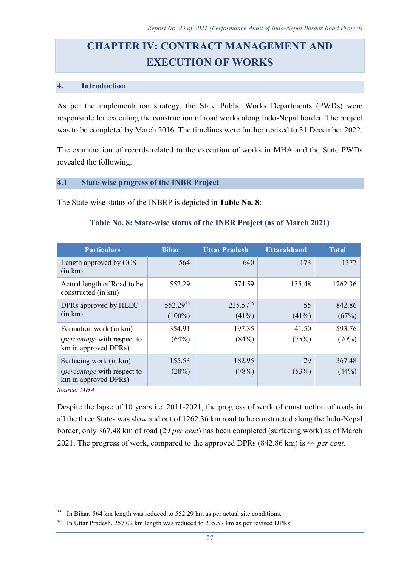# **CHAPTER IV: CONTRACT MANAGEMENT AND EXECUTION OF WORKS**

### **4. Introduction**

As per the implementation strategy, the State Public Works Departments (PWDs) were responsible for executing the construction of road works along Indo-Nepal border. The project was to be completed by March 2016. The timelines were further revised to 31 December 2022.

The examination of records related to the execution of works in MHA and the State PWDs revealed the following:

#### **4.1 State-wise progress of the INBR Project**

The State-wise status of the INBRP is depicted in **Table No. 8**:

| <b>Particulars</b>                                                                    | <b>Bihar</b>          | <b>Uttar Pradesh</b>   | <b>Uttarakhand</b> | <b>Total</b>    |
|---------------------------------------------------------------------------------------|-----------------------|------------------------|--------------------|-----------------|
| Length approved by CCS<br>(in km)                                                     | 564                   | 640                    | 173                | 1377            |
| Actual length of Road to be<br>constructed (in km)                                    | 552.29                | 574.59                 | 135.48             | 1262.36         |
| DPRs approved by HLEC<br>(in km)                                                      | 552.2935<br>$(100\%)$ | $235.57^{36}$<br>(41%) | 55<br>(41%)        | 842.86<br>(67%) |
| Formation work (in km)<br>( <i>percentage</i> with respect to<br>km in approved DPRs) | 354.91<br>(64%)       | 197.35<br>(84%)        | 41.50<br>(75%)     | 593.76<br>(70%) |
| Surfacing work (in km)<br>( <i>percentage</i> with respect to<br>km in approved DPRs) | 155.53<br>(28%)       | 182.95<br>(78%)        | 29<br>(53%)        | 367.48<br>(44%) |

## **Table No. 8: State-wise status of the INBR Project (as of March 2021)**

*Source: MHA*

 $\overline{a}$ 

Despite the lapse of 10 years i.e. 2011-2021, the progress of work of construction of roads in all the three States was slow and out of 1262.36 km road to be constructed along the Indo-Nepal border, only 367.48 km of road (29 *per cent*) has been completed (surfacing work) as of March 2021. The progress of work, compared to the approved DPRs (842.86 km) is 44 *per cent*.

<span id="page-0-0"></span><sup>&</sup>lt;sup>35</sup> In Bihar, 564 km length was reduced to 552.29 km as per actual site conditions.

<span id="page-0-1"></span><sup>&</sup>lt;sup>36</sup> In Uttar Pradesh, 257.02 km length was reduced to 235.57 km as per revised DPRs.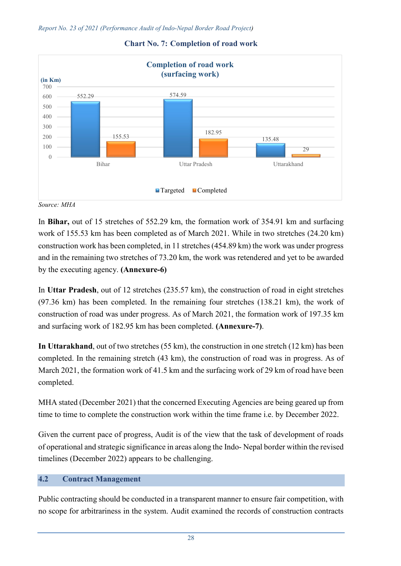

#### **Chart No. 7: Completion of road work**

*Source: MHA*

In **Bihar,** out of 15 stretches of 552.29 km, the formation work of 354.91 km and surfacing work of 155.53 km has been completed as of March 2021. While in two stretches (24.20 km) construction work has been completed, in 11 stretches (454.89 km) the work was under progress and in the remaining two stretches of 73.20 km, the work was retendered and yet to be awarded by the executing agency. **(Annexure-6)**

In **Uttar Pradesh**, out of 12 stretches (235.57 km), the construction of road in eight stretches (97.36 km) has been completed. In the remaining four stretches (138.21 km), the work of construction of road was under progress. As of March 2021, the formation work of 197.35 km and surfacing work of 182.95 km has been completed. **(Annexure-7)**.

**In Uttarakhand**, out of two stretches (55 km), the construction in one stretch (12 km) has been completed. In the remaining stretch (43 km), the construction of road was in progress. As of March 2021, the formation work of 41.5 km and the surfacing work of 29 km of road have been completed.

MHA stated (December 2021) that the concerned Executing Agencies are being geared up from time to time to complete the construction work within the time frame i.e. by December 2022.

Given the current pace of progress, Audit is of the view that the task of development of roads of operational and strategic significance in areas along the Indo- Nepal border within the revised timelines (December 2022) appears to be challenging.

# **4.2 Contract Management**

Public contracting should be conducted in a transparent manner to ensure fair competition, with no scope for arbitrariness in the system. Audit examined the records of construction contracts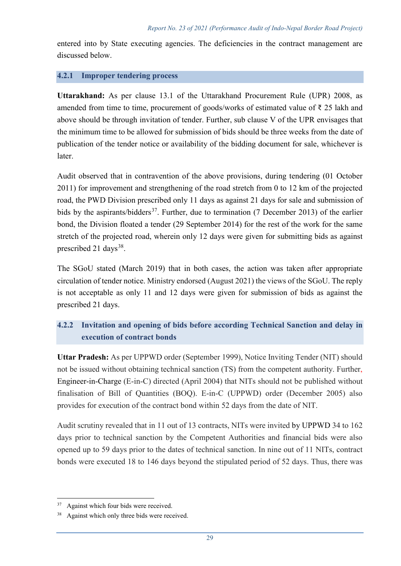entered into by State executing agencies. The deficiencies in the contract management are discussed below.

## **4.2.1 Improper tendering process**

**Uttarakhand:** As per clause 13.1 of the Uttarakhand Procurement Rule (UPR) 2008, as amended from time to time, procurement of goods/works of estimated value of ₹ 25 lakh and above should be through invitation of tender. Further, sub clause V of the UPR envisages that the minimum time to be allowed for submission of bids should be three weeks from the date of publication of the tender notice or availability of the bidding document for sale, whichever is later.

Audit observed that in contravention of the above provisions, during tendering (01 October 2011) for improvement and strengthening of the road stretch from 0 to 12 km of the projected road, the PWD Division prescribed only 11 days as against 21 days for sale and submission of bids by the aspirants/bidders<sup>[37](#page-2-0)</sup>. Further, due to termination (7 December 2013) of the earlier bond, the Division floated a tender (29 September 2014) for the rest of the work for the same stretch of the projected road, wherein only 12 days were given for submitting bids as against prescribed 21 days<sup>38</sup>.

The SGoU stated (March 2019) that in both cases, the action was taken after appropriate circulation of tender notice. Ministry endorsed (August 2021) the views of the SGoU. The reply is not acceptable as only 11 and 12 days were given for submission of bids as against the prescribed 21 days.

# **4.2.2 Invitation and opening of bids before according Technical Sanction and delay in execution of contract bonds**

**Uttar Pradesh:** As per UPPWD order (September 1999), Notice Inviting Tender (NIT) should not be issued without obtaining technical sanction (TS) from the competent authority. Further, Engineer-in-Charge (E-in-C) directed (April 2004) that NITs should not be published without finalisation of Bill of Quantities (BOQ). E-in-C (UPPWD) order (December 2005) also provides for execution of the contract bond within 52 days from the date of NIT.

Audit scrutiny revealed that in 11 out of 13 contracts, NITs were invited by UPPWD 34 to 162 days prior to technical sanction by the Competent Authorities and financial bids were also opened up to 59 days prior to the dates of technical sanction. In nine out of 11 NITs, contract bonds were executed 18 to 146 days beyond the stipulated period of 52 days. Thus, there was

 $\overline{a}$ 

<span id="page-2-0"></span><sup>&</sup>lt;sup>37</sup> Against which four bids were received.

<span id="page-2-1"></span>Against which only three bids were received.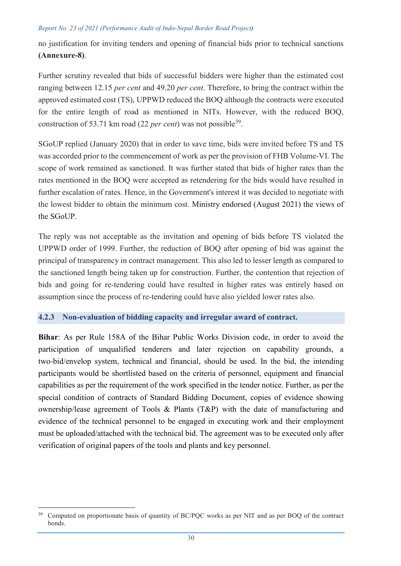no justification for inviting tenders and opening of financial bids prior to technical sanctions **(Annexure-8)**.

Further scrutiny revealed that bids of successful bidders were higher than the estimated cost ranging between 12.15 *per cent* and 49.20 *per cent*. Therefore, to bring the contract within the approved estimated cost (TS), UPPWD reduced the BOQ although the contracts were executed for the entire length of road as mentioned in NITs. However, with the reduced BOQ, construction of 53.71 km road (22 *per cent*) was not possible<sup>39</sup>.

SGoUP replied (January 2020) that in order to save time, bids were invited before TS and TS was accorded prior to the commencement of work as per the provision of FHB Volume-VI. The scope of work remained as sanctioned. It was further stated that bids of higher rates than the rates mentioned in the BOQ were accepted as retendering for the bids would have resulted in further escalation of rates. Hence, in the Government's interest it was decided to negotiate with the lowest bidder to obtain the minimum cost. Ministry endorsed (August 2021) the views of the SGoUP.

The reply was not acceptable as the invitation and opening of bids before TS violated the UPPWD order of 1999. Further, the reduction of BOQ after opening of bid was against the principal of transparency in contract management. This also led to lesser length as compared to the sanctioned length being taken up for construction. Further, the contention that rejection of bids and going for re-tendering could have resulted in higher rates was entirely based on assumption since the process of re-tendering could have also yielded lower rates also.

# **4.2.3 Non-evaluation of bidding capacity and irregular award of contract.**

**Bihar**: As per Rule 158A of the Bihar Public Works Division code, in order to avoid the participation of unqualified tenderers and later rejection on capability grounds, a two-bid/envelop system, technical and financial, should be used. In the bid, the intending participants would be shortlisted based on the criteria of personnel, equipment and financial capabilities as per the requirement of the work specified in the tender notice. Further, as per the special condition of contracts of Standard Bidding Document, copies of evidence showing ownership/lease agreement of Tools & Plants (T&P) with the date of manufacturing and evidence of the technical personnel to be engaged in executing work and their employment must be uploaded/attached with the technical bid. The agreement was to be executed only after verification of original papers of the tools and plants and key personnel.

<span id="page-3-0"></span> $\overline{a}$ <sup>39</sup> Computed on proportionate basis of quantity of BC/PQC works as per NIT and as per BOQ of the contract bonds.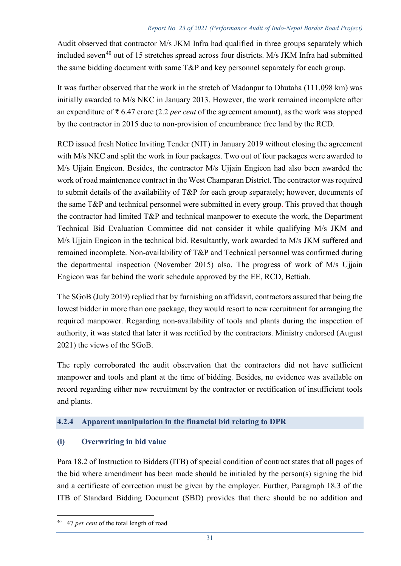Audit observed that contractor M/s JKM Infra had qualified in three groups separately which included seven<sup>[40](#page-4-0)</sup> out of 15 stretches spread across four districts. M/s JKM Infra had submitted the same bidding document with same T&P and key personnel separately for each group.

It was further observed that the work in the stretch of Madanpur to Dhutaha (111.098 km) was initially awarded to M/s NKC in January 2013. However, the work remained incomplete after an expenditure of ₹ 6.47 crore (2.2 *per cent* of the agreement amount), as the work was stopped by the contractor in 2015 due to non-provision of encumbrance free land by the RCD.

RCD issued fresh Notice Inviting Tender (NIT) in January 2019 without closing the agreement with M/s NKC and split the work in four packages. Two out of four packages were awarded to M/s Ujjain Engicon. Besides, the contractor M/s Ujjain Engicon had also been awarded the work of road maintenance contract in the West Champaran District. The contractor was required to submit details of the availability of T&P for each group separately; however, documents of the same T&P and technical personnel were submitted in every group. This proved that though the contractor had limited T&P and technical manpower to execute the work, the Department Technical Bid Evaluation Committee did not consider it while qualifying M/s JKM and M/s Ujjain Engicon in the technical bid. Resultantly, work awarded to M/s JKM suffered and remained incomplete. Non-availability of T&P and Technical personnel was confirmed during the departmental inspection (November 2015) also. The progress of work of M/s Ujjain Engicon was far behind the work schedule approved by the EE, RCD, Bettiah.

The SGoB (July 2019) replied that by furnishing an affidavit, contractors assured that being the lowest bidder in more than one package, they would resort to new recruitment for arranging the required manpower. Regarding non-availability of tools and plants during the inspection of authority, it was stated that later it was rectified by the contractors. Ministry endorsed (August 2021) the views of the SGoB.

The reply corroborated the audit observation that the contractors did not have sufficient manpower and tools and plant at the time of bidding. Besides, no evidence was available on record regarding either new recruitment by the contractor or rectification of insufficient tools and plants.

# **4.2.4 Apparent manipulation in the financial bid relating to DPR**

# **(i) Overwriting in bid value**

Para 18.2 of Instruction to Bidders (ITB) of special condition of contract states that all pages of the bid where amendment has been made should be initialed by the person(s) signing the bid and a certificate of correction must be given by the employer. Further, Paragraph 18.3 of the ITB of Standard Bidding Document (SBD) provides that there should be no addition and

 $\overline{a}$ 

<span id="page-4-0"></span><sup>40 47</sup> *per cent* of the total length of road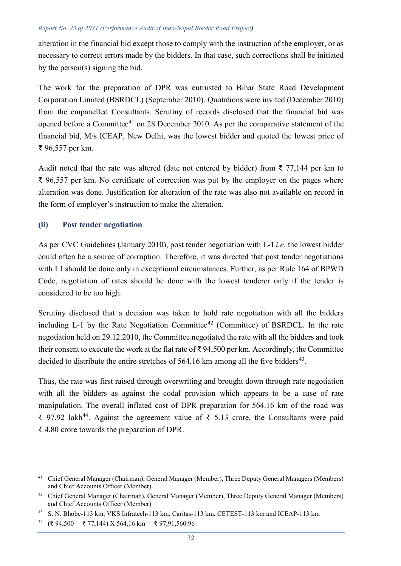alteration in the financial bid except those to comply with the instruction of the employer, or as necessary to correct errors made by the bidders. In that case, such corrections shall be initiated by the person(s) signing the bid.

The work for the preparation of DPR was entrusted to Bihar State Road Development Corporation Limited (BSRDCL) (September 2010). Quotations were invited (December 2010) from the empanelled Consultants. Scrutiny of records disclosed that the financial bid was opened before a Committee<sup>[41](#page-5-0)</sup> on 28 December 2010. As per the comparative statement of the financial bid, M/s ICEAP, New Delhi, was the lowest bidder and quoted the lowest price of ₹ 96,557 per km.

Audit noted that the rate was altered (date not entered by bidder) from  $\bar{\zeta}$  77,144 per km to ₹ 96,557 per km. No certificate of correction was put by the employer on the pages where alteration was done. Justification for alteration of the rate was also not available on record in the form of employer's instruction to make the alteration.

## **(ii) Post tender negotiation**

As per CVC Guidelines (January 2010), post tender negotiation with L-1 *i.e.* the lowest bidder could often be a source of corruption. Therefore, it was directed that post tender negotiations with L1 should be done only in exceptional circumstances. Further, as per Rule 164 of BPWD Code, negotiation of rates should be done with the lowest tenderer only if the tender is considered to be too high.

Scrutiny disclosed that a decision was taken to hold rate negotiation with all the bidders including L-1 by the Rate Negotiation Committee<sup>[42](#page-5-1)</sup> (Committee) of BSRDCL. In the rate negotiation held on 29.12.2010, the Committee negotiated the rate with all the bidders and took their consent to execute the work at the flat rate of ₹ 94,500 per km. Accordingly, the Committee decided to distribute the entire stretches of  $564.16$  km among all the five bidders<sup>[43](#page-5-2)</sup>.

Thus, the rate was first raised through overwriting and brought down through rate negotiation with all the bidders as against the codal provision which appears to be a case of rate manipulation. The overall inflated cost of DPR preparation for 564.16 km of the road was ₹ 97.92 lakh<sup>[44](#page-5-3)</sup>. Against the agreement value of ₹ 5.13 crore, the Consultants were paid ₹ 4.80 crore towards the preparation of DPR.

<span id="page-5-0"></span> $\overline{a}$ <sup>41</sup> Chief General Manager (Chairman), General Manager (Member), Three Deputy General Managers (Members) and Chief Accounts Officer (Member).

<span id="page-5-1"></span><sup>&</sup>lt;sup>42</sup> Chief General Manager (Chairman), General Manager (Member), Three Deputy General Manager (Members) and Chief Accounts Officer (Member)

<span id="page-5-2"></span><sup>43</sup> S. N. Bhobe-113 km, VKS Infratech-113 km, Caritas-113 km, CETEST-113 km and ICEAP-113 km

<span id="page-5-3"></span><sup>44 (</sup>₹ 94,500 – ₹ 77,144) X 564.16 km = ₹ 97,91,560.96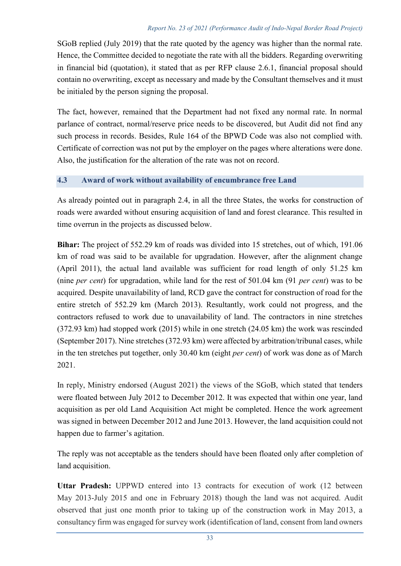SGoB replied (July 2019) that the rate quoted by the agency was higher than the normal rate. Hence, the Committee decided to negotiate the rate with all the bidders. Regarding overwriting in financial bid (quotation), it stated that as per RFP clause 2.6.1, financial proposal should contain no overwriting, except as necessary and made by the Consultant themselves and it must be initialed by the person signing the proposal.

The fact, however, remained that the Department had not fixed any normal rate. In normal parlance of contract, normal/reserve price needs to be discovered, but Audit did not find any such process in records. Besides, Rule 164 of the BPWD Code was also not complied with. Certificate of correction was not put by the employer on the pages where alterations were done. Also, the justification for the alteration of the rate was not on record.

# **4.3 Award of work without availability of encumbrance free Land**

As already pointed out in paragraph 2.4, in all the three States, the works for construction of roads were awarded without ensuring acquisition of land and forest clearance. This resulted in time overrun in the projects as discussed below.

**Bihar:** The project of 552.29 km of roads was divided into 15 stretches, out of which, 191.06 km of road was said to be available for upgradation. However, after the alignment change (April 2011), the actual land available was sufficient for road length of only 51.25 km (nine *per cent*) for upgradation, while land for the rest of 501.04 km (91 *per cent*) was to be acquired. Despite unavailability of land, RCD gave the contract for construction of road for the entire stretch of 552.29 km (March 2013). Resultantly, work could not progress, and the contractors refused to work due to unavailability of land. The contractors in nine stretches (372.93 km) had stopped work (2015) while in one stretch (24.05 km) the work was rescinded (September 2017). Nine stretches (372.93 km) were affected by arbitration/tribunal cases, while in the ten stretches put together, only 30.40 km (eight *per cent*) of work was done as of March 2021.

In reply, Ministry endorsed (August 2021) the views of the SGoB, which stated that tenders were floated between July 2012 to December 2012. It was expected that within one year, land acquisition as per old Land Acquisition Act might be completed. Hence the work agreement was signed in between December 2012 and June 2013. However, the land acquisition could not happen due to farmer's agitation.

The reply was not acceptable as the tenders should have been floated only after completion of land acquisition.

**Uttar Pradesh:** UPPWD entered into 13 contracts for execution of work (12 between May 2013-July 2015 and one in February 2018) though the land was not acquired. Audit observed that just one month prior to taking up of the construction work in May 2013, a consultancy firm was engaged for survey work (identification of land, consent from land owners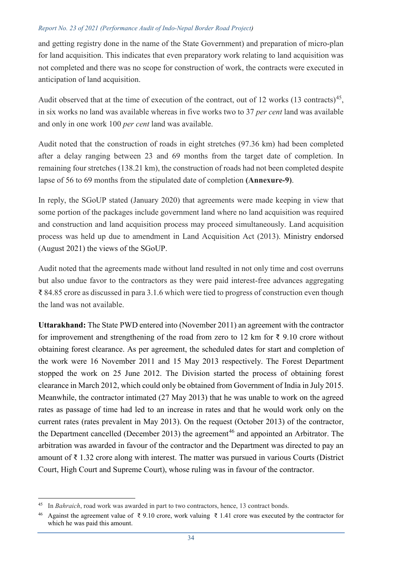and getting registry done in the name of the State Government) and preparation of micro-plan for land acquisition. This indicates that even preparatory work relating to land acquisition was not completed and there was no scope for construction of work, the contracts were executed in anticipation of land acquisition.

Audit observed that at the time of execution of the contract, out of 12 works  $(13 \text{ contracts})^{45}$  $(13 \text{ contracts})^{45}$  $(13 \text{ contracts})^{45}$ , in six works no land was available whereas in five works two to 37 *per cent* land was available and only in one work 100 *per cent* land was available.

Audit noted that the construction of roads in eight stretches (97.36 km) had been completed after a delay ranging between 23 and 69 months from the target date of completion. In remaining four stretches (138.21 km), the construction of roads had not been completed despite lapse of 56 to 69 months from the stipulated date of completion **(Annexure-9)**.

In reply, the SGoUP stated (January 2020) that agreements were made keeping in view that some portion of the packages include government land where no land acquisition was required and construction and land acquisition process may proceed simultaneously. Land acquisition process was held up due to amendment in Land Acquisition Act (2013). Ministry endorsed (August 2021) the views of the SGoUP.

Audit noted that the agreements made without land resulted in not only time and cost overruns but also undue favor to the contractors as they were paid interest-free advances aggregating ₹ 84.85 crore as discussed in para 3.1.6 which were tied to progress of construction even though the land was not available.

**Uttarakhand:** The State PWD entered into (November 2011) an agreement with the contractor for improvement and strengthening of the road from zero to 12 km for  $\bar{\tau}$  9.10 crore without obtaining forest clearance. As per agreement, the scheduled dates for start and completion of the work were 16 November 2011 and 15 May 2013 respectively. The Forest Department stopped the work on 25 June 2012. The Division started the process of obtaining forest clearance in March 2012, which could only be obtained from Government of India in July 2015. Meanwhile, the contractor intimated (27 May 2013) that he was unable to work on the agreed rates as passage of time had led to an increase in rates and that he would work only on the current rates (rates prevalent in May 2013). On the request (October 2013) of the contractor, the Department cancelled (December 2013) the agreement<sup>[46](#page-7-1)</sup> and appointed an Arbitrator. The arbitration was awarded in favour of the contractor and the Department was directed to pay an amount of ₹ 1.32 crore along with interest. The matter was pursued in various Courts (District Court, High Court and Supreme Court), whose ruling was in favour of the contractor.

<span id="page-7-0"></span> $45\,$ 45 In *Bahraich*, road work was awarded in part to two contractors, hence, 13 contract bonds.

<span id="page-7-1"></span>Against the agreement value of ₹ 9.10 crore, work valuing ₹ 1.41 crore was executed by the contractor for which he was paid this amount.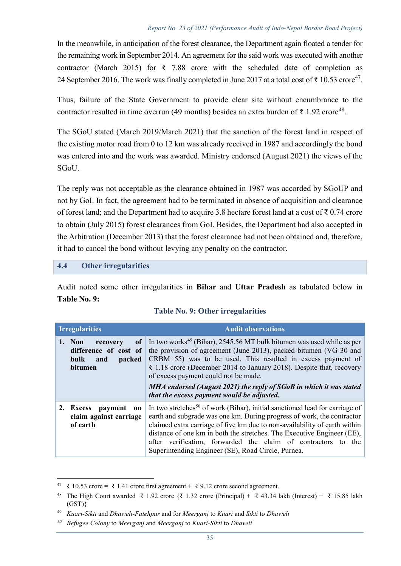In the meanwhile, in anticipation of the forest clearance, the Department again floated a tender for the remaining work in September 2014. An agreement for the said work was executed with another contractor (March 2015) for  $\bar{\tau}$  7.88 crore with the scheduled date of completion as 24 September 2016. The work was finally completed in June 2017 at a total cost of  $\bar{\xi}$  10.53 crore<sup>47</sup>.

Thus, failure of the State Government to provide clear site without encumbrance to the contractor resulted in time overrun (49 months) besides an extra burden of  $\bar{\tau}$  1.92 crore<sup>[48](#page-8-1)</sup>.

The SGoU stated (March 2019/March 2021) that the sanction of the forest land in respect of the existing motor road from 0 to 12 km was already received in 1987 and accordingly the bond was entered into and the work was awarded. Ministry endorsed (August 2021) the views of the SGoU.

The reply was not acceptable as the clearance obtained in 1987 was accorded by SGoUP and not by GoI. In fact, the agreement had to be terminated in absence of acquisition and clearance of forest land; and the Department had to acquire 3.8 hectare forest land at a cost of ₹ 0.74 crore to obtain (July 2015) forest clearances from GoI. Besides, the Department had also accepted in the Arbitration (December 2013) that the forest clearance had not been obtained and, therefore, it had to cancel the bond without levying any penalty on the contractor.

## **4.4 Other irregularities**

 $\overline{a}$ 

Audit noted some other irregularities in **Bihar** and **Uttar Pradesh** as tabulated below in **Table No. 9:**

| <b>Irregularities</b>                                                                               | <b>Audit observations</b>                                                                                                                                                                                                                                                                                                                                                                                                                                  |
|-----------------------------------------------------------------------------------------------------|------------------------------------------------------------------------------------------------------------------------------------------------------------------------------------------------------------------------------------------------------------------------------------------------------------------------------------------------------------------------------------------------------------------------------------------------------------|
| of<br>1. Non<br>recovery<br>difference of cost of<br><b>bulk</b><br>packed<br>and<br><b>bitumen</b> | In two works <sup>49</sup> (Bihar), 2545.56 MT bulk bitumen was used while as per<br>the provision of agreement (June 2013), packed bitumen (VG 30 and<br>CRBM 55) was to be used. This resulted in excess payment of<br>₹ 1.18 crore (December 2014 to January 2018). Despite that, recovery<br>of excess payment could not be made.<br>MHA endorsed (August 2021) the reply of SGoB in which it was stated<br>that the excess payment would be adjusted. |
| 2. Excess<br>payment on<br>claim against carriage<br>of earth                                       | In two stretches <sup>50</sup> of work (Bihar), initial sanctioned lead for carriage of<br>earth and subgrade was one km. During progress of work, the contractor<br>claimed extra carriage of five km due to non-availability of earth within<br>distance of one km in both the stretches. The Executive Engineer (EE),<br>after verification, forwarded the claim of contractors to the<br>Superintending Engineer (SE), Road Circle, Purnea.            |

## **Table No. 9: Other irregularities**

<span id="page-8-0"></span><sup>&</sup>lt;sup>47</sup> ₹ 10.53 crore = ₹ 1.41 crore first agreement + ₹ 9.12 crore second agreement.

<span id="page-8-1"></span><sup>&</sup>lt;sup>48</sup> The High Court awarded  $\bar{\xi}$  1.92 crore { $\bar{\xi}$  1.32 crore (Principal) +  $\bar{\xi}$  43.34 lakh (Interest) +  $\bar{\xi}$  15.85 lakh  $(GST)$ 

<span id="page-8-2"></span><sup>49</sup> *Kuari-Sikti* and *Dhaweli-Fatehpur* and for *Meerganj* to *Kuari* and *Sikti* to *Dhaweli*

<span id="page-8-3"></span>*<sup>50</sup> Refugee Colony* to *Meerganj* and *Meerganj* to *Kuari-Sikti* to *Dhaveli*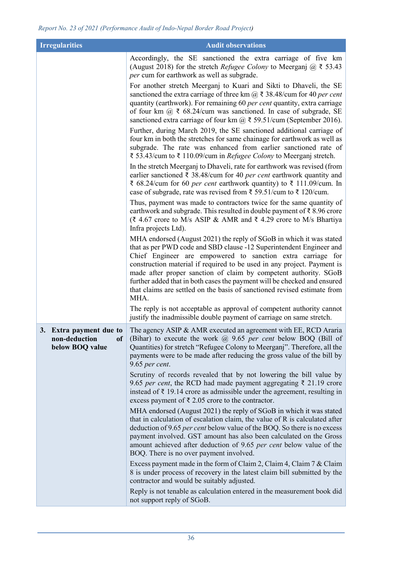| <b>Irregularities</b>                                          | <b>Audit observations</b>                                                                                                                                                                                                                                                                                                                                                                                                                                                                                                |
|----------------------------------------------------------------|--------------------------------------------------------------------------------------------------------------------------------------------------------------------------------------------------------------------------------------------------------------------------------------------------------------------------------------------------------------------------------------------------------------------------------------------------------------------------------------------------------------------------|
|                                                                | Accordingly, the SE sanctioned the extra carriage of five km<br>(August 2018) for the stretch <i>Refugee Colony</i> to Meerganj $\omega \ge 53.43$<br>per cum for earthwork as well as subgrade.                                                                                                                                                                                                                                                                                                                         |
|                                                                | For another stretch Meerganj to Kuari and Sikti to Dhaveli, the SE<br>sanctioned the extra carriage of three km $\omega \gtrsim 38.48$ /cum for 40 per cent<br>quantity (earthwork). For remaining 60 per cent quantity, extra carriage<br>of four km $@ \xi$ 68.24/cum was sanctioned. In case of subgrade, SE<br>sanctioned extra carriage of four km $\omega$ ₹ 59.51/cum (September 2016).<br>Further, during March 2019, the SE sanctioned additional carriage of                                                   |
|                                                                | four km in both the stretches for same chainage for earthwork as well as<br>subgrade. The rate was enhanced from earlier sanctioned rate of<br>₹ 53.43/cum to ₹ 110.09/cum in Refugee Colony to Meerganj stretch.                                                                                                                                                                                                                                                                                                        |
|                                                                | In the stretch Meerganj to Dhaveli, rate for earthwork was revised (from<br>earlier sanctioned $\bar{\tau}$ 38.48/cum for 40 per cent earthwork quantity and<br>₹ 68.24/cum for 60 per cent earthwork quantity) to ₹ 111.09/cum. In<br>case of subgrade, rate was revised from ₹ 59.51/cum to ₹ 120/cum.                                                                                                                                                                                                                 |
|                                                                | Thus, payment was made to contractors twice for the same quantity of<br>earthwork and subgrade. This resulted in double payment of $\bar{\tau}$ 8.96 crore<br>(₹ 4.67 crore to M/s ASIP & AMR and ₹ 4.29 crore to M/s Bhartiya<br>Infra projects Ltd).                                                                                                                                                                                                                                                                   |
|                                                                | MHA endorsed (August 2021) the reply of SGoB in which it was stated<br>that as per PWD code and SBD clause -12 Superintendent Engineer and<br>Chief Engineer are empowered to sanction extra carriage for<br>construction material if required to be used in any project. Payment is<br>made after proper sanction of claim by competent authority. SGoB<br>further added that in both cases the payment will be checked and ensured<br>that claims are settled on the basis of sanctioned revised estimate from<br>MHA. |
|                                                                | The reply is not acceptable as approval of competent authority cannot<br>justify the inadmissible double payment of carriage on same stretch.                                                                                                                                                                                                                                                                                                                                                                            |
| 3. Extra payment due to<br>non-deduction of<br>below BOQ value | The agency ASIP & AMR executed an agreement with EE, RCD Araria<br>(Bihar) to execute the work $\omega$ 9.65 per cent below BOQ (Bill of<br>Quantities) for stretch "Refugee Colony to Meerganj". Therefore, all the<br>payments were to be made after reducing the gross value of the bill by<br>$9.65$ per cent.                                                                                                                                                                                                       |
|                                                                | Scrutiny of records revealed that by not lowering the bill value by<br>9.65 per cent, the RCD had made payment aggregating $\bar{\xi}$ 21.19 crore<br>instead of $\bar{\xi}$ 19.14 crore as admissible under the agreement, resulting in<br>excess payment of $\bar{\xi}$ 2.05 crore to the contractor.                                                                                                                                                                                                                  |
|                                                                | MHA endorsed (August 2021) the reply of SGoB in which it was stated<br>that in calculation of escalation claim, the value of R is calculated after<br>deduction of 9.65 per cent below value of the BOQ. So there is no excess<br>payment involved. GST amount has also been calculated on the Gross<br>amount achieved after deduction of 9.65 per cent below value of the<br>BOQ. There is no over payment involved.                                                                                                   |
|                                                                | Excess payment made in the form of Claim 2, Claim 4, Claim 7 & Claim<br>8 is under process of recovery in the latest claim bill submitted by the<br>contractor and would be suitably adjusted.                                                                                                                                                                                                                                                                                                                           |
|                                                                | Reply is not tenable as calculation entered in the measurement book did<br>not support reply of SGoB.                                                                                                                                                                                                                                                                                                                                                                                                                    |